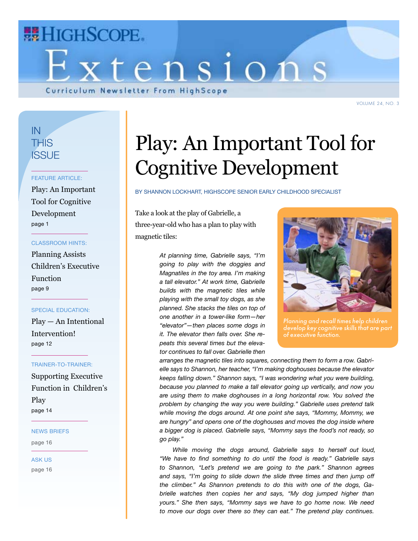

### In **THIS** Issue

#### FEATURE ARTICLE:

Play: An Important Tool for Cognitive Development page 1

#### CLASSROOM HINTS:

Planning Assists [Children's Executive](#page-8-0)  Function page 9

#### SPECIAL EDUCATION:

[Play — An Intentional](#page-11-0)  Intervention! page 12

#### TRAINER-TO-TRAINER:

Supporting Executive [Function in Children's](#page-13-0)  Play page 14

#### [NEWS BRIEFS](#page-15-0)

page 16

ASK US page 16

# Play: An Important Tool for Cognitive Development

by Shannon Lockhart, HighScope Senior Early Childhood Specialist

Take a look at the play of Gabrielle, a three-year-old who has a plan to play with magnetic tiles:

> *At planning time, Gabrielle says, "I'm going to play with the doggies and Magnatiles in the toy area. I'm making a tall elevator." At work time, Gabrielle builds with the magnetic tiles while playing with the small toy dogs, as she planned. She stacks the tiles on top of one another in a tower-like form—her "elevator"—then places some dogs in it. The elevator then falls over. She repeats this several times but the elevator continues to fall over. Gabrielle then*



VOLUME 24, NO. 3

Planning and recall times help children develop key cognitive skills that are part

*arranges the magnetic tiles into squares, connecting them to form a row. Gabrielle says to Shannon, her teacher, "I'm making doghouses because the elevator keeps falling down." Shannon says, "I was wondering what you were building, because you planned to make a tall elevator going up vertically, and now you are using them to make doghouses in a long horizontal row. You solved the problem by changing the way you were building." Gabrielle uses pretend talk while moving the dogs around. At one point she says, "Mommy, Mommy, we are hungry" and opens one of the doghouses and moves the dog inside where a bigger dog is placed. Gabrielle says, "Mommy says the food's not ready, so go play."* 

*While moving the dogs around, Gabrielle says to herself out loud, "We have to find something to do until the food is ready." Gabrielle says to Shannon, "Let's pretend we are going to the park." Shannon agrees and says, "I'm going to slide down the slide three times and then jump off the climber." As Shannon pretends to do this with one of the dogs, Gabrielle watches then copies her and says, "My dog jumped higher than yours." She then says, "Mommy says we have to go home now. We need to move our dogs over there so they can eat." The pretend play continues.*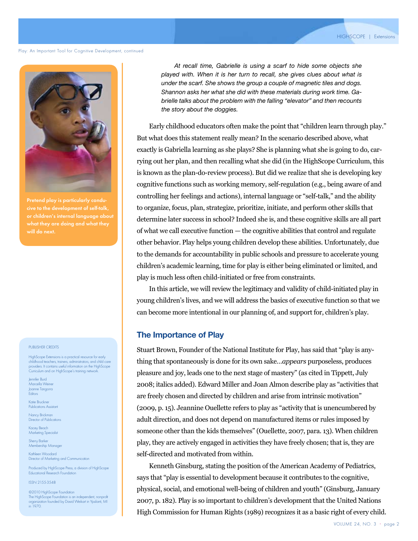#### Play: An Important Tool for Cognitive Development, continued



Pretend play is particularly conduor children's internal language about what they are doing and what they will do next.

#### PUBLISHER CREDITS

HighScope Extensions is a practical resource for early childhood teachers, trainers, administrators, and child care providers. It contains useful information on the HighScope Curriculum and on HighScope's training network.

Jennifer Burd Marcella Weiner Joanne Tangorra **Editors** 

Katie Bruckner Publications Assistant

Nancy Brickman Director of Publications

Kacey Beach Marketing Specialist

Sherry Barker Membership Manager

Kathleen Woodard Director of Marketing and Communication

Produced by HighScope Press, a division of HighScope Educational Research Foundation

ISSN 2155-3548

©2010 HighScope Foundation The HighScope Foundation is an independent, nonprofit organization founded by David Weikart in Ypsilanti, MI in 1970.

*At recall time, Gabrielle is using a scarf to hide some objects she played with. When it is her turn to recall, she gives clues about what is under the scarf. She shows the group a couple of magnetic tiles and dogs. Shannon asks her what she did with these materials during work time. Gabrielle talks about the problem with the falling "elevator" and then recounts the story about the doggies.* 

Early childhood educators often make the point that "children learn through play." But what does this statement really mean? In the scenario described above, what exactly is Gabriella learning as she plays? She is planning what she is going to do, carrying out her plan, and then recalling what she did (in the HighScope Curriculum, this is known as the plan-do-review process). But did we realize that she is developing key cognitive functions such as working memory, self-regulation (e.g., being aware of and controlling her feelings and actions), internal language or "self-talk," and the ability to organize, focus, plan, strategize, prioritize, initiate, and perform other skills that determine later success in school? Indeed she is, and these cognitive skills are all part of what we call executive function — the cognitive abilities that control and regulate other behavior. Play helps young children develop these abilities. Unfortunately, due to the demands for accountability in public schools and pressure to accelerate young children's academic learning, time for play is either being eliminated or limited, and play is much less often child-initiated or free from constraints.

In this article, we will review the legitimacy and validity of child-initiated play in young children's lives, and we will address the basics of executive function so that we can become more intentional in our planning of, and support for, children's play.

#### **The Importance of Play**

Stuart Brown, Founder of the National Institute for Play, has said that "play is anything that spontaneously is done for its own sake…*appears* purposeless, produces pleasure and joy, leads one to the next stage of mastery" (as cited in Tippett, July 2008; italics added). Edward Miller and Joan Almon describe play as "activities that are freely chosen and directed by children and arise from intrinsic motivation" (2009, p. 15). Jeannine Ouellette refers to play as "activity that is unencumbered by adult direction, and does not depend on manufactured items or rules imposed by someone other than the kids themselves" (Ouellette, 2007, para. 13). When children play, they are actively engaged in activities they have freely chosen; that is, they are self-directed and motivated from within.

Kenneth Ginsburg, stating the position of the American Academy of Pediatrics, says that "play is essential to development because it contributes to the cognitive, physical, social, and emotional well-being of children and youth" (Ginsburg, January 2007, p. 182). Play is so important to children's development that the United Nations High Commission for Human Rights (1989) recognizes it as a basic right of every child.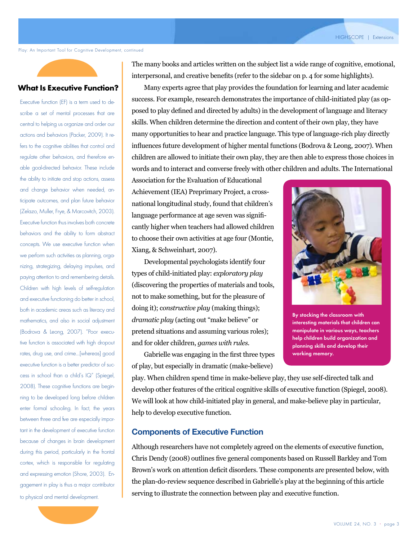Play: An Important Tool for Cognitive Development, continued

#### **What Is Executive Function?**

Executive function (EF) is a term used to describe a set of mental processes that are central to helping us organize and order our actions and behaviors (Packer, 2009). It refers to the cognitive abilities that control and regulate other behaviors, and therefore enable goal-directed behavior. These include the ability to initiate and stop actions, assess and change behavior when needed, anticipate outcomes, and plan future behavior (Zelazo, Muller, Frye, & Marcovitch, 2003). Executive function thus involves both concrete behaviors and the ability to form abstract concepts. We use executive function when we perform such activities as planning, organizing, strategizing, delaying impulses, and paying attention to and remembering details. Children with high levels of self-regulation and executive functioning do better in school, both in academic areas such as literacy and mathematics, and also in social adjustment (Bodrova & Leong, 2007). "Poor executive function is associated with high dropout rates, drug use, and crime…[whereas] good executive function is a better predictor of success in school than a child's IQ" (Spiegel, 2008). These cognitive functions are beginning to be developed long before children enter formal schooling. In fact, the years between three and five are especially important in the development of executive function because of changes in brain development during this period, particularly in the frontal cortex, which is responsible for regulating and expressing emotion (Shore, 2003). Engagement in play is thus a major contributor to physical and mental development.

The many books and articles written on the subject list a wide range of cognitive, emotional, interpersonal, and creative benefits (refer to the sidebar on p. 4 for some highlights).

Many experts agree that play provides the foundation for learning and later academic success. For example, research demonstrates the importance of child-initiated play (as opposed to play defined and directed by adults) in the development of language and literacy skills. When children determine the direction and content of their own play, they have many opportunities to hear and practice language. This type of language-rich play directly influences future development of higher mental functions (Bodrova & Leong, 2007). When children are allowed to initiate their own play, they are then able to express those choices in words and to interact and converse freely with other children and adults. The International

Association for the Evaluation of Educational Achievement (IEA) Preprimary Project, a crossnational longitudinal study, found that children's language performance at age seven was significantly higher when teachers had allowed children to choose their own activities at age four (Montie, Xiang, & Schweinhart, 2007).

Developmental psychologists identify four types of child-initiated play: *exploratory play*  (discovering the properties of materials and tools, not to make something, but for the pleasure of doing it); c*onstructive play* (making things); *dramatic play* (acting out "make believe" or pretend situations and assuming various roles); and for older children, *games with rules.* 

Gabrielle was engaging in the first three types of play, but especially in dramatic (make-believe)

By stocking the classroom with interesting materials that children can manipulate in various ways, teachers help children build organization and planning skills and develop their working memory.

play. When children spend time in make-believe play, they use self-directed talk and develop other features of the critical cognitive skills of executive function (Spiegel, 2008). We will look at how child-initiated play in general, and make-believe play in particular, help to develop executive function.

#### **Components of Executive Function**

Although researchers have not completely agreed on the elements of executive function, Chris Dendy (2008) outlines five general components based on Russell Barkley and Tom Brown's work on attention deficit disorders. These components are presented below, with the plan-do-review sequence described in Gabrielle's play at the beginning of this article serving to illustrate the connection between play and executive function.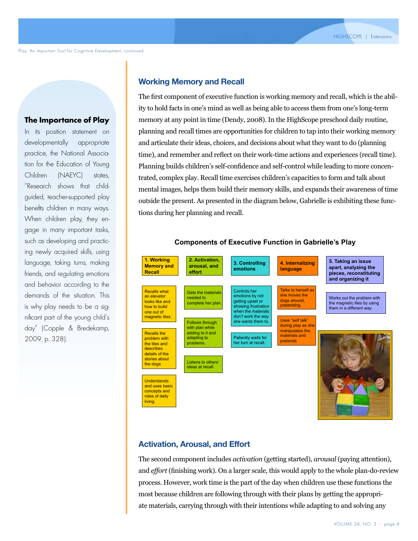#### **The Importance of Play**

In its position statement on developmentally appropriate practice, the National Association for the Education of Young Children (NAEYC) states, "Research shows that childguided, teacher-supported play benefits children in many ways. When children play, they engage in many important tasks, such as developing and practicing newly acquired skills, using language, taking turns, making friends, and regulating emotions and behavior according to the demands of the situation. This is why play needs to be a significant part of the young child's day" (Copple & Bredekamp, 2009, p. 328).

#### **Working Memory and Recall**

The first component of executive function is working memory and recall, which is the ability to hold facts in one's mind as well as being able to access them from one's long-term memory at any point in time (Dendy, 2008). In the HighScope preschool daily routine, planning and recall times are opportunities for children to tap into their working memory and articulate their ideas, choices, and decisions about what they want to do (planning time), and remember and reflect on their work-time actions and experiences (recall time). Planning builds children's self-confidence and self-control while leading to more concentrated, complex play. Recall time exercises children's capacities to form and talk about mental images, helps them build their memory skills, and expands their awareness of time outside the present. As presented in the diagram below, Gabrielle is exhibiting these functions during her planning and recall.



#### **Components of Executive Function in Gabrielle's Play**

#### **Activation, Arousal, and Effort**

The second component includes *activation* (getting started), *arousal* (paying attention), and *effort* (finishing work). On a larger scale, this would apply to the whole plan-do-review process. However, work time is the part of the day when children use these functions the most because children are following through with their plans by getting the appropriate materials, carrying through with their intentions while adapting to and solving any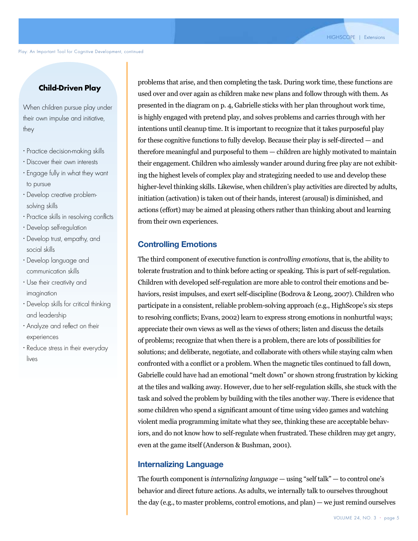#### **Child-Driven Play**

When children pursue play under their own impulse and initiative, they

- Practice decision-making skills
- Discover their own interests
- Engage fully in what they want to pursue
- Develop creative problemsolving skills
- Practice skills in resolving conflicts
- Develop self-regulation
- Develop trust, empathy, and social skills
- Develop language and communication skills
- Use their creativity and imagination
- Develop skills for critical thinking and leadership
- Analyze and reflect on their experiences
- Reduce stress in their everyday lives

problems that arise, and then completing the task. During work time, these functions are used over and over again as children make new plans and follow through with them. As presented in the diagram on p. 4, Gabrielle sticks with her plan throughout work time, is highly engaged with pretend play, and solves problems and carries through with her intentions until cleanup time. It is important to recognize that it takes purposeful play for these cognitive functions to fully develop. Because their play is self-directed — and therefore meaningful and purposeful to them — children are highly motivated to maintain their engagement. Children who aimlessly wander around during free play are not exhibiting the highest levels of complex play and strategizing needed to use and develop these higher-level thinking skills. Likewise, when children's play activities are directed by adults, initiation (activation) is taken out of their hands, interest (arousal) is diminished, and actions (effort) may be aimed at pleasing others rather than thinking about and learning from their own experiences.

#### **Controlling Emotions**

The third component of executive function is *controlling emotions*, that is, the ability to tolerate frustration and to think before acting or speaking. This is part of self-regulation. Children with developed self-regulation are more able to control their emotions and behaviors, resist impulses, and exert self-discipline (Bodrova & Leong, 2007). Children who participate in a consistent, reliable problem-solving approach (e.g., HighScope's six steps to resolving conflicts; Evans, 2002) learn to express strong emotions in nonhurtful ways; appreciate their own views as well as the views of others; listen and discuss the details of problems; recognize that when there is a problem, there are lots of possibilities for solutions; and deliberate, negotiate, and collaborate with others while staying calm when confronted with a conflict or a problem. When the magnetic tiles continued to fall down, Gabrielle could have had an emotional "melt down" or shown strong frustration by kicking at the tiles and walking away. However, due to her self-regulation skills, she stuck with the task and solved the problem by building with the tiles another way. There is evidence that some children who spend a significant amount of time using video games and watching violent media programming imitate what they see, thinking these are acceptable behaviors, and do not know how to self-regulate when frustrated. These children may get angry, even at the game itself (Anderson & Bushman, 2001).

#### **Internalizing Language**

The fourth component is *internalizing language* — using "self talk" — to control one's behavior and direct future actions. As adults, we internally talk to ourselves throughout the day (e.g., to master problems, control emotions, and plan) — we just remind ourselves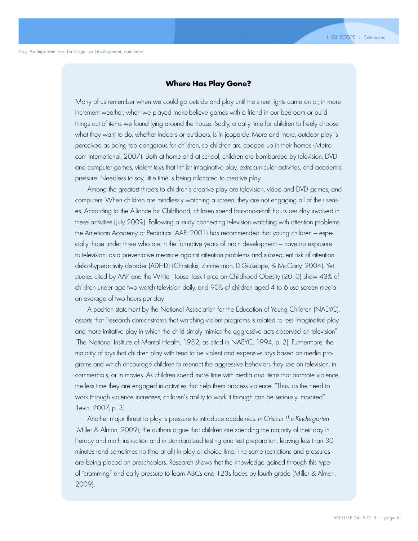#### **Where Has Play Gone?**

Many of us remember when we could go outside and play until the street lights came on or, in more inclement weather, when we played make-believe games with a friend in our bedroom or build things out of items we found lying around the house. Sadly, a daily time for children to freely choose what they want to do, whether indoors or outdoors, is in jeopardy. More and more, outdoor play is perceived as being too dangerous for children, so children are cooped up in their homes (Metrocom International, 2007). Both at home and at school, children are bombarded by television, DVD and computer games, violent toys that inhibit imaginative play, extracurricular activities, and academic pressure. Needless to say, little time is being allocated to creative play.

Among the greatest threats to children's creative play are television, video and DVD games, and computers. When children are mindlessly watching a screen, they are not engaging all of their senses. According to the Alliance for Childhood, children spend four-and-a-half hours per day involved in these activities (July 2009). Following a study connecting television watching with attention problems, the American Academy of Pediatrics (AAP; 2001) has recommended that young children — especially those under three who are in the formative years of brain development — have no exposure to television, as a preventative measure against attention problems and subsequent risk of attention deficit-hyperactivity disorder (ADHD) (Christakis, Zimmerman, DiGiuseppe, & McCarty, 2004). Yet studies cited by AAP and the White House Task Force on Childhood Obesity (2010) show 43% of children under age two watch television daily, and 90% of children aged 4 to 6 use screen media an average of two hours per day.

A position statement by the National Association for the Education of Young Children (NAEYC), asserts that "research demonstrates that watching violent programs is related to less imaginative play and more imitative play in which the child simply mimics the aggressive acts observed on television" (The National Institute of Mental Health, 1982, as cited in NAEYC, 1994, p. 2). Furthermore, the majority of toys that children play with tend to be violent and expensive toys based on media programs and which encourage children to reenact the aggressive behaviors they see on television, in commercials, or in movies. As children spend more time with media and items that promote violence, the less time they are engaged in activities that help them process violence. "Thus, as the need to work through violence increases, children's ability to work it through can be seriously impaired" (Levin, 2007, p. 3).

Another major threat to play is pressure to introduce academics. In Crisis in The Kindergarten (Miller & Almon, 2009), the authors argue that children are spending the majority of their day in literacy and math instruction and in standardized testing and test preparation, leaving less than 30 minutes (and sometimes no time at all) in play or choice time. The same restrictions and pressures are being placed on preschoolers. Research shows that the knowledge gained through this type of "cramming" and early pressure to learn ABCs and 123s fades by fourth grade (Miller & Almon, 2009).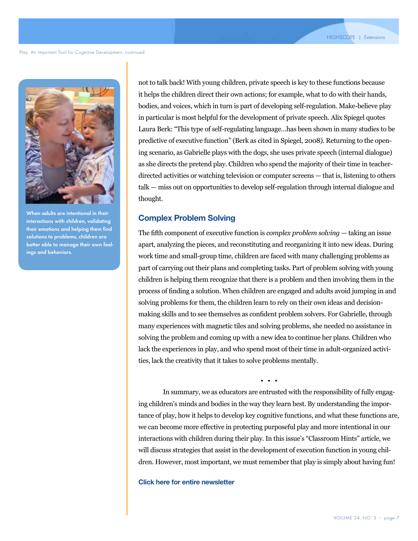

When adults are intentional in their interactions with children, validating their emotions and helping them find solutions to problems, children are better able to manage their own feelings and behaviors.

not to talk back! With young children, private speech is key to these functions because it helps the children direct their own actions; for example, what to do with their hands, bodies, and voices, which in turn is part of developing self-regulation. Make-believe play in particular is most helpful for the development of private speech. Alix Spiegel quotes Laura Berk: "This type of self-regulating language…has been shown in many studies to be predictive of executive function" (Berk as cited in Spiegel, 2008). Returning to the opening scenario, as Gabrielle plays with the dogs, she uses private speech (internal dialogue) as she directs the pretend play. Children who spend the majority of their time in teacherdirected activities or watching television or computer screens — that is, listening to others talk — miss out on opportunities to develop self-regulation through internal dialogue and thought.

#### **Complex Problem Solving**

The fifth component of executive function is *complex problem solving* — taking an issue apart, analyzing the pieces, and reconstituting and reorganizing it into new ideas. During work time and small-group time, children are faced with many challenging problems as part of carrying out their plans and completing tasks. Part of problem solving with young children is helping them recognize that there is a problem and then involving them in the process of finding a solution. When children are engaged and adults avoid jumping in and solving problems for them, the children learn to rely on their own ideas and decisionmaking skills and to see themselves as confident problem solvers. For Gabrielle, through many experiences with magnetic tiles and solving problems, she needed no assistance in solving the problem and coming up with a new idea to continue her plans. Children who lack the experiences in play, and who spend most of their time in adult-organized activities, lack the creativity that it takes to solve problems mentally.

• • •

In summary, we as educators are entrusted with the responsibility of fully engaging children's minds and bodies in the way they learn best. By understanding the importance of play, how it helps to develop key cognitive functions, and what these functions are, we can become more effective in protecting purposeful play and more intentional in our interactions with children during their play. In this issue's "Classroom Hints" article, we will discuss strategies that assist in the development of execution function in young children. However, most important, we must remember that play is simply about having fun!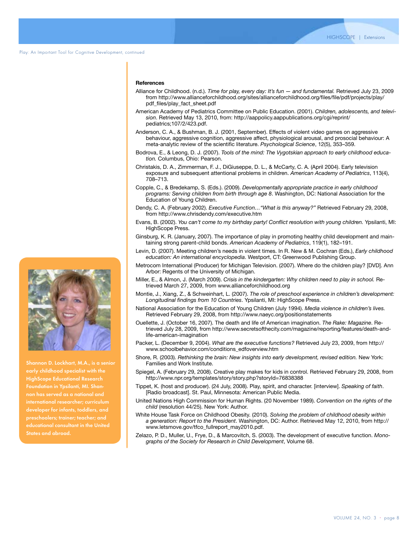#### **References**

- Alliance for Childhood. (n.d.). *Time for play, every day: It's fun and fundamental.* Retrieved July 23, 2009 from<http://www.allianceforchildhood.org/sites/allianceforchildhood.org/files/file/pdf/projects/play/> pdf\_files/play\_fact\_sheet.pdf
- American Academy of Pediatrics Committee on Public Education. (2001). *Children, adolescents, and television*. Retrieved May 13, 2010, from: http://aappolicy.aappublications.org/cgi/reprint/ pediatrics;107/2/423.pdf.
- Anderson, C. A., & Bushman, B. J. (2001, September). Effects of violent video games on aggressive behaviour, aggressive cognition, aggressive affect, physiological arousal, and prosocial behaviour: A meta-analytic review of the scientific literature. *Psychological Science*, 12(5), 353–359.
- Bodrova, E., & Leong, D. J. (2007). *Tools of the mind: The Vygotskian approach to early childhood education.* Columbus, Ohio: Pearson.
- Christakis, D. A., Zimmerman, F. J., DiGiuseppe, D. L., & McCarty, C. A. (April 2004). Early television exposure and subsequent attentional problems in children. *American Academy of Pediatrics*, 113(4), 708–713.
- Copple, C., & Bredekamp, S. (Eds.). (2009). *Developmentally appropriate practice in early childhood programs: Serving children from birth through age 8*. Washington, DC: National Association for the Education of Young Children.
- Dendy, C. A. (February 2002). *Executive Function…"What is this anyway?"* Retrieved February 29, 2008, from<http://www.chrisdendy.com/executive.htm>
- Evans, B. (2002). *You can't come to my birthday party! Conflict resolution with young children.* Ypsilanti, MI: HighScope Press.
- Ginsburg, K. R. (January, 2007). The importance of play in promoting healthy child development and maintaining strong parent-child bonds. *American Academy of Pediatrics*, 119(1), 182–191.
- Levin, D. (2007). Meeting children's needs in violent times. In R. New & M. Cochran (Eds.), *Early childhood education: An international encyclopedia*. Westport, CT: Greenwood Publishing Group.
- Metrocom International (Producer) for Michigan Television. (2007). Where do the children play? [DVD]. Ann Arbor: Regents of the University of Michigan.
- Miller, E., & Almon, J. (March 2009). *Crisis in the kindergarten: Why children need to play in school.* Retrieved March 27, 2009, from [www.allianceforchildhood.org](http://www.allianceforchildhood.org)
- Montie, J., Xiang, Z., & Schweinhart, L. (2007). *The role of preschool experience in children's development: Longitudinal findings from 10 Countries*. Ypsilanti, MI: HighScope Press.
- National Association for the Education of Young Children (July 1994). *Media violence in children's lives.*  Retrieved February 29, 2008, from<http://www.naeyc.org/positionstatements>
- Ouellette, J. (October 16, 2007). The death and life of American imagination. *The Rake: Magazine*. Retrieved July 28, 2009, from [http://www.secretsofthecity.com/magazine/reporting/features/death-an](http://www.secretsofthecity.com/magazine/reporting/features/death-and-life-american-imagination)dlife[-american-imagination](http://www.secretsofthecity.com/magazine/reporting/features/death-and-life-american-imagination)
- Packer, L. (December 9, 2004). *What are the executive functions?* Retrieved July 23, 2009, from http:// www.schoolbehavior.com/conditions\_edfoverview.htm
- Shore, R. (2003). *Rethinking the brain: New insights into early development, revised edition. New York:* Families and Work Institute.
- Spiegel, A. (February 29, 2008). Creative play makes for kids in control. Retrieved February 29, 2008, from http://www.npr.org/templates/story/story.php?storyId=76838388
- Tippet, K. (host and producer). (24 July, 2008). Play, spirit, and character. [interview]. *Speaking of faith*. [Radio broadcast]. St. Paul, Minnesota: American Public Media.
- United Nations High Commission for Human Rights. (20 November 1989). *Convention on the rights of the child* (resolution 44/25). New York: Author.
- White House Task Force on Childhood Obesity. (2010). *Solving the problem of childhood obesity within a generation: Report to the President*. Washington, DC: Author. Retrieved May 12, 2010, from http:// www.letsmove.gov/tfco\_fullreport\_may2010.pdf.
- Zelazo, P. D., Muller, U., Frye, D., & Marcovitch, S. (2003). The development of executive function. *Monographs of the Society for Research in Child Development*, Volume 68.



Shannon D. Lockhart, M.A., is a senior early childhood specialist with the HighScope Educational Research international researcher; curriculum developer for infants, toddlers, and preschoolers; trainer; teacher; and educational consultant in the United States and abroad.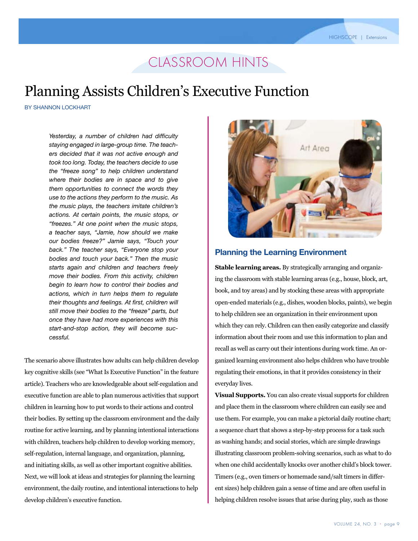### classroom hints

## <span id="page-8-0"></span>Planning Assists Children's Executive Function

By Shannon Lockhart

*Yesterday, a number of children had difficulty staying engaged in large-group time. The teachers decided that it was not active enough and took too long. Today, the teachers decide to use the "freeze song" to help children understand where their bodies are in space and to give them opportunities to connect the words they use to the actions they perform to the music. As the music plays, the teachers imitate children's actions. At certain points, the music stops, or "freezes." At one point when the music stops, a teacher says, "Jamie, how should we make our bodies freeze?" Jamie says, "Touch your back." The teacher says, "Everyone stop your bodies and touch your back." Then the music starts again and children and teachers freely move their bodies. From this activity, children begin to learn how to control their bodies and actions, which in turn helps them to regulate their thoughts and feelings. At first, children will still move their bodies to the "freeze" parts, but once they have had more experiences with this start-and-stop action, they will become successful.* 

The scenario above illustrates how adults can help children develop key cognitive skills (see "What Is Executive Function" in the feature article). Teachers who are knowledgeable about self-regulation and executive function are able to plan numerous activities that support children in learning how to put words to their actions and control their bodies. By setting up the classroom environment and the daily routine for active learning, and by planning intentional interactions with children, teachers help children to develop working memory, self-regulation, internal language, and organization, planning, and initiating skills, as well as other important cognitive abilities. Next, we will look at ideas and strategies for planning the learning environment, the daily routine, and intentional interactions to help develop children's executive function.



#### **Planning the Learning Environment**

**Stable learning areas.** By strategically arranging and organizing the classroom with stable learning areas (e.g., house, block, art, book, and toy areas) and by stocking these areas with appropriate open-ended materials (e.g., dishes, wooden blocks, paints), we begin to help children see an organization in their environment upon which they can rely. Children can then easily categorize and classify information about their room and use this information to plan and recall as well as carry out their intentions during work time. An organized learning environment also helps children who have trouble regulating their emotions, in that it provides consistency in their everyday lives.

**Visual Supports.** You can also create visual supports for children and place them in the classroom where children can easily see and use them. For example, you can make a pictorial daily routine chart; a sequence chart that shows a step-by-step process for a task such as washing hands; and social stories, which are simple drawings illustrating classroom problem-solving scenarios, such as what to do when one child accidentally knocks over another child's block tower. Timers (e.g., oven timers or homemade sand/salt timers in different sizes) help children gain a sense of time and are often useful in helping children resolve issues that arise during play, such as those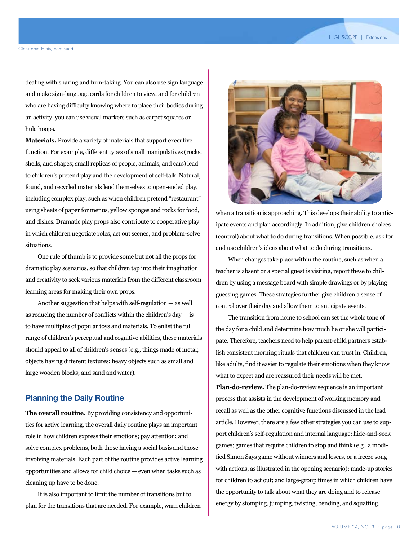dealing with sharing and turn-taking. You can also use sign language and make sign-language cards for children to view, and for children who are having difficulty knowing where to place their bodies during an activity, you can use visual markers such as carpet squares or hula hoops.

**Materials.** Provide a variety of materials that support executive function. For example, different types of small manipulatives (rocks, shells, and shapes; small replicas of people, animals, and cars) lead to children's pretend play and the development of self-talk. Natural, found, and recycled materials lend themselves to open-ended play, including complex play, such as when children pretend "restaurant" using sheets of paper for menus, yellow sponges and rocks for food, and dishes. Dramatic play props also contribute to cooperative play in which children negotiate roles, act out scenes, and problem-solve situations.

One rule of thumb is to provide some but not all the props for dramatic play scenarios, so that children tap into their imagination and creativity to seek various materials from the different classroom learning areas for making their own props.

Another suggestion that helps with self-regulation — as well as reducing the number of conflicts within the children's day  $-$  is to have multiples of popular toys and materials. To enlist the full range of children's perceptual and cognitive abilities, these materials should appeal to all of children's senses (e.g., things made of metal; objects having different textures; heavy objects such as small and large wooden blocks; and sand and water).

#### **Planning the Daily Routine**

**The overall routine.** By providing consistency and opportunities for active learning, the overall daily routine plays an important role in how children express their emotions; pay attention; and solve complex problems, both those having a social basis and those involving materials. Each part of the routine provides active learning opportunities and allows for child choice — even when tasks such as cleaning up have to be done.

It is also important to limit the number of transitions but to plan for the transitions that are needed. For example, warn children



when a transition is approaching. This develops their ability to anticipate events and plan accordingly. In addition, give children choices (control) about what to do during transitions. When possible, ask for and use children's ideas about what to do during transitions.

When changes take place within the routine, such as when a teacher is absent or a special guest is visiting, report these to children by using a message board with simple drawings or by playing guessing games. These strategies further give children a sense of control over their day and allow them to anticipate events.

The transition from home to school can set the whole tone of the day for a child and determine how much he or she will participate. Therefore, teachers need to help parent-child partners establish consistent morning rituals that children can trust in. Children, like adults, find it easier to regulate their emotions when they know what to expect and are reassured their needs will be met.

**Plan-do-review.** The plan-do-review sequence is an important process that assists in the development of working memory and recall as well as the other cognitive functions discussed in the lead article. However, there are a few other strategies you can use to support children's self-regulation and internal language: hide-and-seek games; games that require children to stop and think (e.g., a modified Simon Says game without winners and losers, or a freeze song with actions, as illustrated in the opening scenario); made-up stories for children to act out; and large-group times in which children have the opportunity to talk about what they are doing and to release energy by stomping, jumping, twisting, bending, and squatting.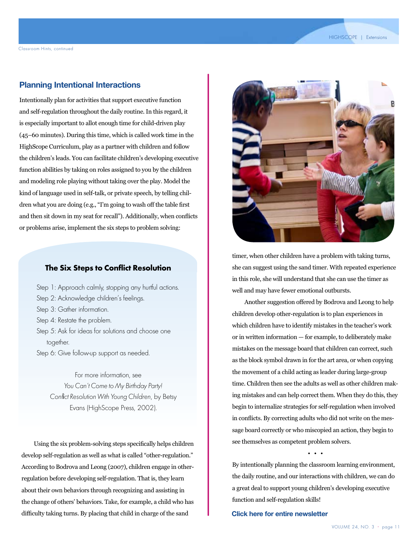Classroom Hints, continued

#### **Planning Intentional Interactions**

Intentionally plan for activities that support executive function and self-regulation throughout the daily routine. In this regard, it is especially important to allot enough time for child-driven play (45–60 minutes). During this time, which is called work time in the HighScope Curriculum, play as a partner with children and follow the children's leads. You can facilitate children's developing executive function abilities by taking on roles assigned to you by the children and modeling role playing without taking over the play. Model the kind of language used in self-talk, or private speech, by telling children what you are doing (e.g., "I'm going to wash off the table first and then sit down in my seat for recall"). Additionally, when conflicts or problems arise, implement the six steps to problem solving:

#### **The Six Steps to Conflict Resolution**

Step 1: Approach calmly, stopping any hurtful actions. Step 2: Acknowledge children's feelings. Step 3: Gather information. Step 4: Restate the problem. Step 5: Ask for ideas for solutions and choose one together. Step 6: Give follow-up support as needed.

For more information, see You Can't Come to My Birthday Party! Conflict Resolution With Young Children, by Betsy Evans (HighScope Press, 2002).

Using the six problem-solving steps specifically helps children develop self-regulation as well as what is called "other-regulation." According to Bodrova and Leong (2007), children engage in otherregulation before developing self-regulation. That is, they learn about their own behaviors through recognizing and assisting in the change of others' behaviors. Take, for example, a child who has difficulty taking turns. By placing that child in charge of the sand



timer, when other children have a problem with taking turns, she can suggest using the sand timer. With repeated experience in this role, she will understand that she can use the timer as well and may have fewer emotional outbursts.

Another suggestion offered by Bodrova and Leong to help children develop other-regulation is to plan experiences in which children have to identify mistakes in the teacher's work or in written information — for example, to deliberately make mistakes on the message board that children can correct, such as the block symbol drawn in for the art area, or when copying the movement of a child acting as leader during large-group time. Children then see the adults as well as other children making mistakes and can help correct them. When they do this, they begin to internalize strategies for self-regulation when involved in conflicts. By correcting adults who did not write on the message board correctly or who miscopied an action, they begin to see themselves as competent problem solvers.

By intentionally planning the classroom learning environment, the daily routine, and our interactions with children, we can do a great deal to support young children's developing executive function and self-regulation skills!

• • •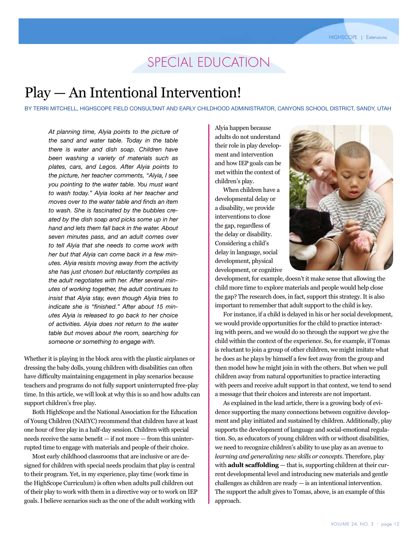### special education

## <span id="page-11-0"></span>Play — An Intentional Intervention!

By Terri Mitchell, HIGHSCOPE FIELD CONSULTANT AND Early Childhood Administrator, Canyons School District, Sandy, Utah

*At planning time, Alyia points to the picture of the sand and water table. Today in the table there is water and dish soap. Children have been washing a variety of materials such as plates, cars, and Legos. After Alyia points to the picture, her teacher comments, "Alyia, I see you pointing to the water table. You must want to wash today." Alyia looks at her teacher and moves over to the water table and finds an item to wash. She is fascinated by the bubbles created by the dish soap and picks some up in her hand and lets them fall back in the water. About seven minutes pass, and an adult comes over to tell Alyia that she needs to come work with her but that Alyia can come back in a few minutes. Alyia resists moving away from the activity she has just chosen but reluctantly complies as the adult negotiates with her. After several minutes of working together, the adult continues to insist that Alyia stay, even though Alyia tries to indicate she is "finished." After about 15 minutes Alyia is released to go back to her choice of activities. Alyia does not return to the water table but moves about the room, searching for someone or something to engage with.*

Whether it is playing in the block area with the plastic airplanes or dressing the baby dolls, young children with disabilities can often have difficulty maintaining engagement in play scenarios because teachers and programs do not fully support uninterrupted free-play time. In this article, we will look at why this is so and how adults can support children's free play.

Both HighScope and the National Association for the Education of Young Children (NAEYC) recommend that children have at least one hour of free play in a half-day session. Children with special needs receive the same benefit — if not more — from this uninterrupted time to engage with materials and people of their choice.

Most early childhood classrooms that are inclusive or are designed for children with special needs proclaim that play is central to their program. Yet, in my experience, play time (work time in the HighScope Curriculum) is often when adults pull children out of their play to work with them in a directive way or to work on IEP goals. I believe scenarios such as the one of the adult working with

Alyia happen because adults do not understand their role in play development and intervention and how IEP goals can be met within the context of children's play.

When children have a developmental delay or a disability, we provide interventions to close the gap, regardless of the delay or disability. Considering a child's delay in language, social development, physical development, or cognitive



development, for example, doesn't it make sense that allowing the child more time to explore materials and people would help close the gap? The research does, in fact, support this strategy. It is also important to remember that adult support to the child is key.

For instance, if a child is delayed in his or her social development, we would provide opportunities for the child to practice interacting with peers, and we would do so through the support we give the child within the context of the experience. So, for example, if Tomas is reluctant to join a group of other children, we might imitate what he does as he plays by himself a few feet away from the group and then model how he might join in with the others. But when we pull children away from natural opportunities to practice interacting with peers and receive adult support in that context, we tend to send a message that their choices and interests are not important.

As explained in the lead article, there is a growing body of evidence supporting the many connections between cognitive development and play initiated and sustained by children. Additionally, play supports the development of language and social-emotional regulation. So, as educators of young children with or without disabilities, we need to recognize children's ability to use play as an avenue to *learning and generalizing new skills or concepts*. Therefore, play with **adult scaffolding** — that is, supporting children at their current developmental level and introducing new materials and gentle challenges as children are ready — is an intentional intervention. The support the adult gives to Tomas, above, is an example of this approach.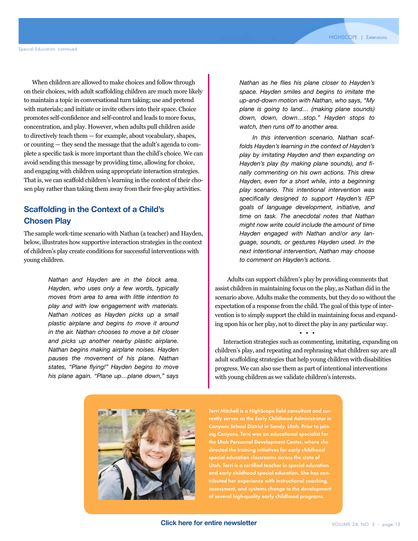When children are allowed to make choices and follow through on their choices, with adult scaffolding children are much more likely to maintain a topic in conversational turn taking; use and pretend with materials; and initiate or invite others into their space. Choice promotes self-confidence and self-control and leads to more focus, concentration, and play. However, when adults pull children aside to directively teach them — for example, about vocabulary, shapes, or counting — they send the message that the adult's agenda to complete a specific task is more important than the child's choice. We can avoid sending this message by providing time, allowing for choice, and engaging with children using appropriate interaction strategies. That is, we can scaffold children's learning in the context of their chosen play rather than taking them away from their free-play activities.

### **Scaffolding in the Context of a Child's Chosen Play**

The sample work-time scenario with Nathan (a teacher) and Hayden, below, illustrates how supportive interaction strategies in the context of children's play create conditions for successful interventions with young children.

> *Nathan and Hayden are in the block area. Hayden, who uses only a few words, typically moves from area to area with little intention to play and with low engagement with materials. Nathan notices as Hayden picks up a small plastic airplane and begins to move it around in the air. Nathan chooses to move a bit closer and picks up another nearby plastic airplane. Nathan begins making airplane noises. Hayden pauses the movement of his plane. Nathan states, "Plane flying!" Hayden begins to move his plane again. "Plane up…plane down," says*

*Nathan as he flies his plane closer to Hayden's space. Hayden smiles and begins to imitate the up-and-down motion with Nathan, who says, "My plane is going to land… (making plane sounds) down, down, down…stop." Hayden stops to watch, then runs off to another area.*

*In this intervention scenario, Nathan scaffolds Hayden's learning in the context of Hayden's play by imitating Hayden and then expanding on Hayden's play (by making plane sounds), and finally commenting on his own actions. This drew Hayden, even for a short while, into a beginning play scenario. This intentional intervention was specifically designed to support Hayden's IEP goals of language development, initiative, and time on task. The anecdotal notes that Nathan might now write could include the amount of time Hayden engaged with Nathan and/or any language, sounds, or gestures Hayden used. In the next intentional intervention, Nathan may choose to comment on Hayden's actions.*

Adults can support children's play by providing comments that assist children in maintaining focus on the play, as Nathan did in the scenario above. Adults make the comments, but they do so without the expectation of a response from the child. The goal of this type of intervention is to simply support the child in maintaining focus and expanding upon his or her play, not to direct the play in any particular way.

Interaction strategies such as commenting, imitating, expanding on children's play, and repeating and rephrasing what children say are all adult scaffolding strategies that help young children with disabilities progress. We can also use them as part of intentional interventions with young children as we validate children's interests.

• • •



Terri Mitchell is a HighScope field consultant and currently serves as the Early Childhood Administrator in Canyons School District in Sandy, Utah. Prior to joining Canyons, Terri was an educational specialist for the Utah Personnel Development Center, where she directed the training initiatives for early childhood special education classrooms across the state of Utah. Terri is a certified teacher in special education and early childhood special education. She has contributed her experience with instructional coaching, assessment, and systems change to the development of several high-quality early childhood programs.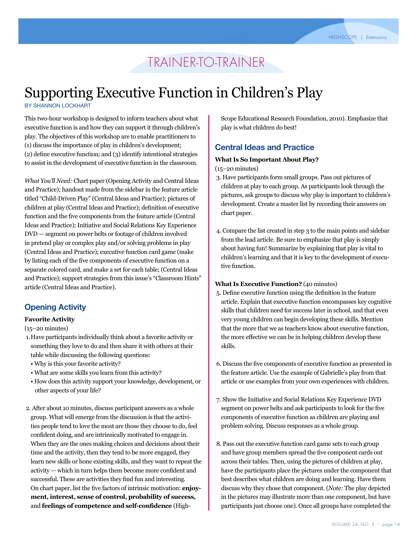## Trainer-to-Trainer

## <span id="page-13-0"></span>Supporting Executive Function in Children's Play

By SHANNON LOCKHART

This two-hour workshop is designed to inform teachers about what executive function is and how they can support it through children's play. The objectives of this workshop are to enable practitioners to (1) discuss the importance of play in children's development; (2) define executive function; and (3) identify intentional strategies to assist in the development of executive function in the classroom.

*What You'll Need:* Chart paper (Opening Activity and Central Ideas and Practice); handout made from the sidebar in the feature article titled "Child-Driven Play" (Central Ideas and Practice); pictures of children at play (Central Ideas and Practice); definition of executive function and the five components from the feature article (Central Ideas and Practice); Initiative and Social Relations Key Experience DVD — segment on power belts or footage of children involved in pretend play or complex play and/or solving problems in play (Central Ideas and Practice); executive function card game (make by listing each of the five components of executive function on a separate colored card, and make a set for each table; (Central Ideas and Practice); support strategies from this issue's "Classroom Hints" article (Central Ideas and Practice).

### **Opening Activity**

#### **Favorite Activity**

(15–20 minutes)

- 1.Have participants individually think about a favorite activity or something they love to do and then share it with others at their table while discussing the following questions:
	- Why is this your favorite activity?
	- What are some skills you learn from this activity?
	- How does this activity support your knowledge, development, or other aspects of your life?
- 2. After about 10 minutes, discuss participant answers as a whole group. What will emerge from the discussion is that the activities people tend to love the most are those they choose to do, feel confident doing, and are intrinsically motivated to engage in. When they are the ones making choices and decisions about their time and the activity, then they tend to be more engaged, they learn new skills or hone existing skills, and they want to repeat the activity — which in turn helps them become more confident and successful. These are activities they find fun and interesting. On chart paper, list the five factors of intrinsic motivation: **enjoyment, interest, sense of control, probability of success,** and **feelings of competence and self-confidence** (High-

Scope Educational Research Foundation, 2010). Emphasize that play is what children do best!

#### **Central Ideas and Practice**

#### **What Is So Important About Play?**

(15–20 minutes)

- 3. Have participants form small groups. Pass out pictures of children at play to each group. As participants look through the pictures, ask groups to discuss why play is important to children's development. Create a master list by recording their answers on chart paper.
- 4. Compare the list created in step 3 to the main points and sidebar from the lead article. Be sure to emphasize that play is simply about having fun! Summarize by explaining that play is vital to children's learning and that it is key to the development of executive function.

#### **What Is Executive Function?** (40 minutes)

- 5. Define executive function using the definition in the feature article. Explain that executive function encompasses key cognitive skills that children need for success later in school, and that even very young children can begin developing these skills. Mention that the more that we as teachers know about executive function, the more effective we can be in helping children develop these skills.
- 6. Discuss the five components of executive function as presented in the feature article. Use the example of Gabrielle's play from that article or use examples from your own experiences with children.
- 7. Show the Initiative and Social Relations Key Experience DVD segment on power belts and ask participants to look for the five components of executive function as children are playing and problem solving. Discuss responses as a whole group.
- 8. Pass out the executive function card game sets to each group and have group members spread the five component cards out across their tables. Then, using the pictures of children at play, have the participants place the pictures under the component that best describes what children are doing and learning. Have them discuss why they chose that component. (*Note:* The play depicted in the pictures may illustrate more than one component, but have participants just choose one). Once all groups have completed the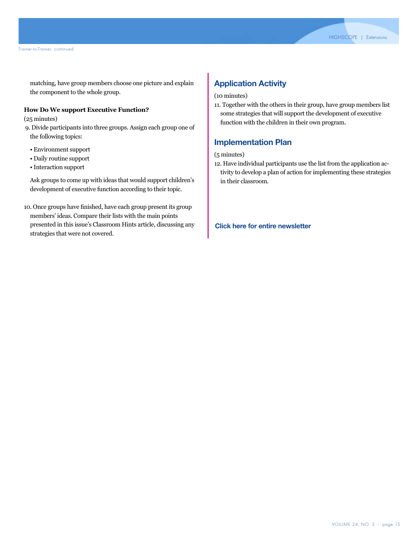matching, have group members choose one picture and explain the component to the whole group.

#### **How Do We support Executive Function?**

(25 minutes)

- 9. Divide participants into three groups. Assign each group one of the following topics:
	- Environment support
	- Daily routine support
	- Interaction support

Ask groups to come up with ideas that would support children's development of executive function according to their topic.

10. Once groups have finished, have each group present its group members' ideas. Compare their lists with the main points presented in this issue's Classroom Hints article, discussing any strategies that were not covered.

### **Application Activity**

(10 minutes)

11. Together with the others in their group, have group members list some strategies that will support the development of executive function with the children in their own program.

#### **Implementation Plan**

#### (5 minutes)

12. Have individual participants use the list from the application activity to develop a plan of action for implementing these strategies in their classroom.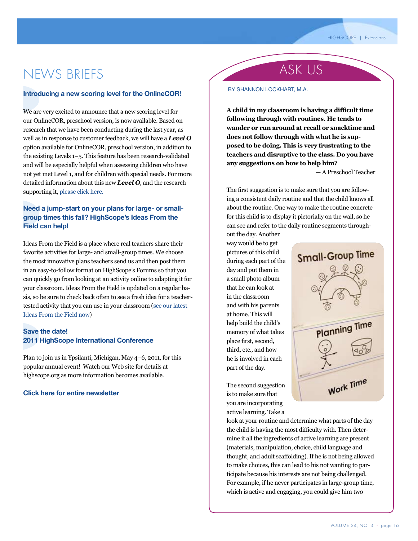# <span id="page-15-0"></span>NEWS BRIFFS ASK US

#### **Introducing a new scoring level for the OnlineCOR!**

We are very excited to announce that a new scoring level for our OnlineCOR, preschool version, is now available. Based on research that we have been conducting during the last year, as well as in response to customer feedback, we will have a *Level O* option available for OnlineCOR, preschool version, in addition to the existing Levels 1–5. This feature has been research-validated and will be especially helpful when assessing children who have not yet met Level 1, and for children with special needs. For more detailed information about this new *Level O*, and the research supporting it, [please click here.](https://app.e2ma.net/app/view:CampaignPublic/id:17220.8665005084/rid:c7cd13cb07a223038d6f45cc761784e0)

#### **Need a jump-start on your plans for large- or smallgroup times this fall? HighScope's Ideas From the Field can help!**

Ideas From the Field is a place where real teachers share their favorite activities for large- and small-group times. We choose the most innovative plans teachers send us and then post them in an easy-to-follow format on HighScope's Forums so that you can quickly go from looking at an activity online to adapting it for your classroom. Ideas From the Field is updated on a regular basis, so be sure to check back often to see a fresh idea for a teachertested activity that you can use in your classroom [\(see our latest](http://www.highscope.org/Content.asp?ContentId=412)  [Ideas From the Field now\)](http://www.highscope.org/Content.asp?ContentId=412)

#### **Save the date! 2011 HighScope International Conference**

Plan to join us in Ypsilanti, Michigan, May 4–6, 2011, for this popular annual event! Watch our Web site for details at [highscope.org a](http://www.highscope.org/Content.asp?ContentId=153)s more information becomes available.

#### **[Click here for entire newsletter](http://www.highscope.org/file/NewsandInformation/Extensions/Ext_Vol24No3_lowresFinal3.pdf)**

#### by SHANNON LOCKHART, M.A.

**A child in my classroom is having a difficult time following through with routines. He tends to wander or run around at recall or snacktime and does not follow through with what he is supposed to be doing. This is very frustrating to the teachers and disruptive to the class. Do you have any suggestions on how to help him?** 

— A Preschool Teacher

The first suggestion is to make sure that you are following a consistent daily routine and that the child knows all about the routine. One way to make the routine concrete for this child is to display it pictorially on the wall, so he can see and refer to the daily routine segments throughout the day. Another

way would be to get pictures of this child during each part of the day and put them in a small photo album that he can look at in the classroom and with his parents at home. This will help build the child's memory of what takes place first, second, third, etc., and how he is involved in each part of the day.

The second suggestion is to make sure that you are incorporating active learning. Take a



look at your routine and determine what parts of the day the child is having the most difficulty with. Then determine if all the ingredients of active learning are present (materials, manipulation, choice, child language and thought, and adult scaffolding). If he is not being allowed to make choices, this can lead to his not wanting to participate because his interests are not being challenged. For example, if he never participates in large-group time, which is active and engaging, you could give him two